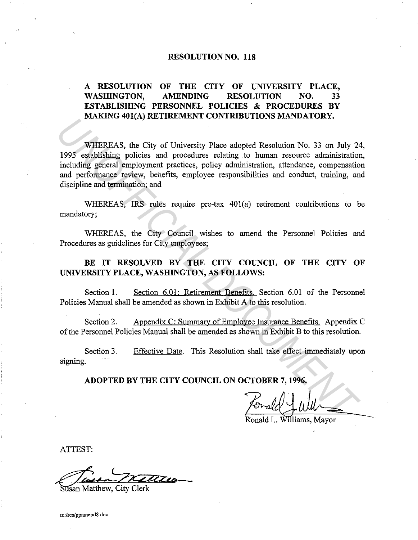## **RESOLUTION NO. 118**

# **A RESOLUTION OF THE CITY OF UNIVERSITY PLACE, WASHINGTON, AMENDING RESOLUTION NO. 33 ESTABLISIDNG PERSONNEL POLICIES & PROCEDURES BY MAKING 401(A) RETIREMENT CONTRIBUTIONS MANDATORY.**

WHEREAS, the City of University Place adopted Resolution No. 33 on July 24, 1995 establishing policies and procedures relating to human resource administration, including general employment practices, policy administration, attendance, compensation and performance review, benefits, employee responsibilities and conduct, training, and discipline and termination; and **INTEREAS, the City of University Columbic Hotsey MENDATORT.**<br> **WHEREAS, the City of University Place adopted Resolution No. 33 on July 24**<br>
1995 establishing policies and procedures relating to human resource administrati

WHEREAS, IRS rules require pre-tax 401(a) retirement contributions to be mandatory;

WHEREAS, the City Council wishes to amend the Personnel Policies and Procedures as guidelines for City employees;

BE IT RESOLVED BY THE CITY COUNCIL OF THE CITY OF **UNIVERSITY PLACE, WASHINGTON, AS FOLLOWS:** 

Section 1. Section 6.01: Retirement Benefits. Section 6.01 of the Personnel Policies Manual shall be amended as shown in Exhibit A to this resolution.

Section 2. Appendix C: Summary of Employee Insurance Benefits. Appendix C of the Personnel Policies Manual shall be amended as shown in Exhibit B to this resolution.

Section 3. signing. Effective Date. This Resolution shall take effect immediately upon

**ADOPTED BY THE CITY COUNCIL ON OCTOBER 7, 1996.** 

Williams, Mayor

ATTEST:

isan Matthew, City Clerk

**m:/res/ppamend8.doc**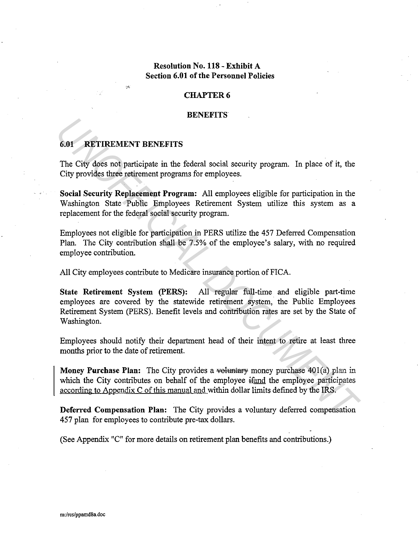# **Resolution No. 118 - Exhibit A Section 6.01 of the Personnel Policies**

### **CHAPTER 6**

#### **BENEFITS**

### **6.01 RETIREMENT BENEFITS**

*:'·* 

The City does not participate in the federal social security program. In place of it, the City provides three retirement programs for employees.

**Social Security Replacement Program:** All employees eligible for participation in the Washington State Public Employees Retirement System utilize this system as a replacement for the federal social security program.

Employees not eligible for participation in PERS utilize the 457 Deferred Compensation Plan. The City contribution shall be 7.5% of the employee's salary, with no required employee contribution.

All City employees contribute to Medicare insurance portion of FICA.

**State Retirement System (PERS):** All regular full-time and eligible part-time. employees are covered by the statewide retirement system, the Public Employees Retirement System (PERS). Benefit levels and contribution rates are set by the State of Washington. **6.01 RETIREMENT BENEFITS**<br> **The City does not participate in the federal social security program. In place of it, the City provides these retirement programs for employees.<br>
<b>Social Security Replacement Program:** All em

Employees should notify their department head of their intent to retire at least three months prior to the date of retirement.

**Money Purchase Plan:** The City provides a voluntary money purchase 401(a) plan in which the City contributes on behalf of the employee  $\frac{1}{2}$  and the employee participates according to Appendix C of this manual and within dollar limits defined by the IRS.

**Deferred Compensation Plan:** The City provides a voluntary deferred compensation 457 plan for employees to contribute pre-tax dollars.

(See Appendix "C" for more details on retirement plan benefits and contributions.)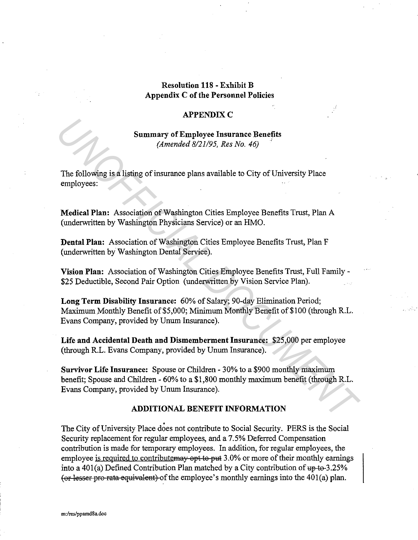## **Resolution 118 - Exhibit B Appendix C of the Personnel Policies**

### **APPENDIX C**

**Summary of Employee Insurance Benefits**  *(Amended 8121195, Res No. 46)* ·

The following is a listing of insurance plans available to City of University Place employees:

**Medical Plan:** Association of Washington Cities Employee Benefits Trust, Plan A (underwritten by Washington Physicians Service) or an HMO.

**Dental Plan:** Association of Washington Cities Employee Benefits Trust, Plan F (underwritten by Washington Dental Service).

**Vision Plan:** Association of Washington Cities Employee Benefits Trust, Full Family- \$25 Deductible, Second Pair Option (underwritten by Vision Service Plan).

**Long Term Disability Insurance:** 60% of Salary; 90-day Elimination Period; Maximum Monthly Benefit of \$5,000; Minimum Monthly Benefit of \$100 (through R.L. Evans Company, provided by Unum Insurance).

**Life and Accidental Death and Dismemberment Insurance:** \$25,000 per employee (through R.L. Evans Company, provided by Unum Insurance).

**Survivor Life Insurance:** Spouse or Children - 30% to a \$900 monthly maximum benefit; Spouse and Children - 60% to a \$1,800 monthly maximum benefit (through R.L. Evans Company, provided by Unum Insurance). **Summary of Employee Insurance Benefits**<br>
(*Amended 8/21/95, Res No. 46*)<br> **The following is a listing of insurance plans available to City of University Place**<br> **Comployees:**<br> **Medical Plan:** Association of Washington Cit

### **ADDITIONAL BENEFIT INFORMATION**

The City of University Place does not contribute to Social Security. PERS is the Social Security replacement for regular employees, and a 7.5% Deferred Compensation contribution is made for temporary employees. In addition, for regular employees, the employee is required to contribute may opt to put 3.0% or more of their monthly earnings into a 401(a) Defined Contribution Plan matched by a City contribution of  $up-to-3.25%$ (or lesser pro-rata equivalent) of the employee's monthly earnings into the  $401(a)$  plan.